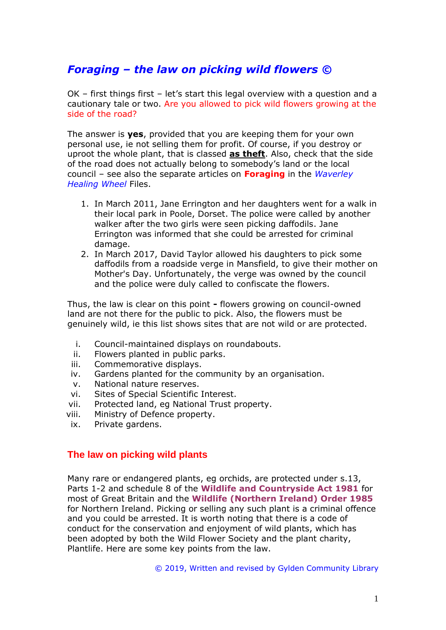# *Foraging – the law on picking wild flowers ©*

OK – first things first – let's start this legal overview with a question and a cautionary tale or two. Are you allowed to pick wild flowers growing at the side of the road?

The answer is **yes**, provided that you are keeping them for your own personal use, ie not selling them for profit. Of course, if you destroy or uproot the whole plant, that is classed **as theft**. Also, check that the side of the road does not actually belong to somebody's land or the local council – see also the separate articles on **Foraging** in the *Waverley Healing Wheel* Files.

- 1. In March 2011, Jane Errington and her daughters went for a walk in their local park in Poole, Dorset. The police were called by another walker after the two girls were seen picking daffodils. Jane Errington was informed that she could be arrested for criminal damage.
- 2. In March 2017, David Taylor allowed his daughters to pick some daffodils from a roadside verge in Mansfield, to give their mother on Mother's Day. Unfortunately, the verge was owned by the council and the police were duly called to confiscate the flowers.

Thus, the law is clear on this point **-** flowers growing on council-owned land are not there for the public to pick. Also, the flowers must be genuinely wild, ie this list shows sites that are not wild or are protected.

- i. Council-maintained displays on roundabouts.
- ii. Flowers planted in public parks.
- iii. Commemorative displays.
- iv. Gardens planted for the community by an organisation.
- v. National nature reserves.
- vi. Sites of Special Scientific Interest.
- vii. Protected land, eg National Trust property.
- viii. Ministry of Defence property.
- ix. Private gardens.

## **The law on picking wild plants**

Many rare or endangered plants, eg orchids, are protected under s.13, Parts 1-2 and schedule 8 of the **Wildlife and Countryside Act 1981** for most of Great Britain and the **Wildlife (Northern Ireland) Order 1985**  for Northern Ireland. Picking or selling any such plant is a criminal offence and you could be arrested. It is worth noting that there is a code of conduct for the conservation and enjoyment of wild plants, which has been adopted by both the Wild Flower Society and the plant charity, Plantlife. Here are some key points from the law.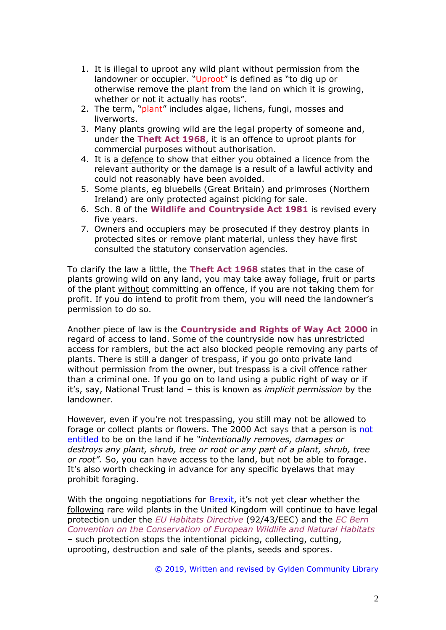- 1. It is illegal to uproot any wild plant without permission from the landowner or occupier. "Uproot" is defined as "to dig up or otherwise remove the plant from the land on which it is growing, whether or not it actually has roots".
- 2. The term, "plant" includes algae, lichens, fungi, mosses and liverworts.
- 3. Many plants growing wild are the legal property of someone and, under the **Theft Act 1968**, it is an offence to uproot plants for commercial purposes without authorisation.
- 4. It is a defence to show that either you obtained a licence from the relevant authority or the damage is a result of a lawful activity and could not reasonably have been avoided.
- 5. Some plants, eg bluebells (Great Britain) and primroses (Northern Ireland) are only protected against picking for sale.
- 6. Sch. 8 of the **Wildlife and Countryside Act 1981** is revised every five years.
- 7. Owners and occupiers may be prosecuted if they destroy plants in protected sites or remove plant material, unless they have first consulted the statutory conservation agencies.

To clarify the law a little, the **Theft Act 1968** states that in the case of plants growing wild on any land, you may take away foliage, fruit or parts of the plant without committing an offence, if you are not taking them for profit. If you do intend to profit from them, you will need the landowner's permission to do so.

Another piece of law is the **Countryside and Rights of Way Act 2000** in regard of access to land. Some of the countryside now has unrestricted access for ramblers, but the act also blocked people removing any parts of plants. There is still a danger of trespass, if you go onto private land without permission from the owner, but trespass is a civil offence rather than a criminal one. If you go on to land using a public right of way or if it's, say, National Trust land – this is known as *implicit permission* by the landowner.

However, even if you're not trespassing, you still may not be allowed to forage or collect plants or flowers. The 2000 Act says that a person is not entitled to be on the land if he *"intentionally removes, damages or destroys any plant, shrub, tree or root or any part of a plant, shrub, tree or root".* So, you can have access to the land, but not be able to forage. It's also worth checking in advance for any specific byelaws that may prohibit foraging.

With the ongoing negotiations for Brexit, it's not yet clear whether the following rare wild plants in the United Kingdom will continue to have legal protection under the *EU Habitats Directive* (92/43/EEC) and the *EC Bern Convention on the Conservation of European Wildlife and Natural Habitats* – such protection stops the intentional picking, collecting, cutting, uprooting, destruction and sale of the plants, seeds and spores.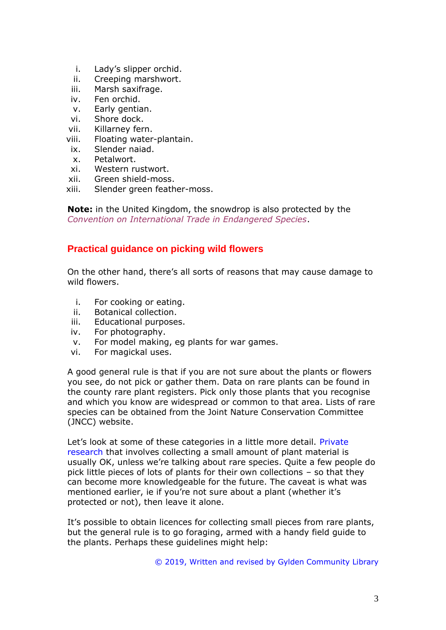- i. Lady's slipper orchid.
- ii. Creeping marshwort.
- iii. Marsh saxifrage.
- iv. Fen orchid.
- v. Early gentian.
- vi. Shore dock.
- vii. Killarney fern.
- viii. Floating water-plantain.
- ix. Slender naiad.
- x. Petalwort.
- xi. Western rustwort.
- xii. Green shield-moss.
- xiii. Slender green feather-moss.

**Note:** in the United Kingdom, the snowdrop is also protected by the *Convention on International Trade in Endangered Species*.

## **Practical guidance on picking wild flowers**

On the other hand, there's all sorts of reasons that may cause damage to wild flowers.

- i. For cooking or eating.
- ii. Botanical collection.
- iii. Educational purposes.
- iv. For photography.
- v. For model making, eg plants for war games.
- vi. For magickal uses.

A good general rule is that if you are not sure about the plants or flowers you see, do not pick or gather them. Data on rare plants can be found in the county rare plant registers. Pick only those plants that you recognise and which you know are widespread or common to that area. Lists of rare species can be obtained from the Joint Nature Conservation Committee (JNCC) website.

Let's look at some of these categories in a little more detail. Private research that involves collecting a small amount of plant material is usually OK, unless we're talking about rare species. Quite a few people do pick little pieces of lots of plants for their own collections – so that they can become more knowledgeable for the future. The caveat is what was mentioned earlier, ie if you're not sure about a plant (whether it's protected or not), then leave it alone.

It's possible to obtain licences for collecting small pieces from rare plants, but the general rule is to go foraging, armed with a handy field guide to the plants. Perhaps these guidelines might help: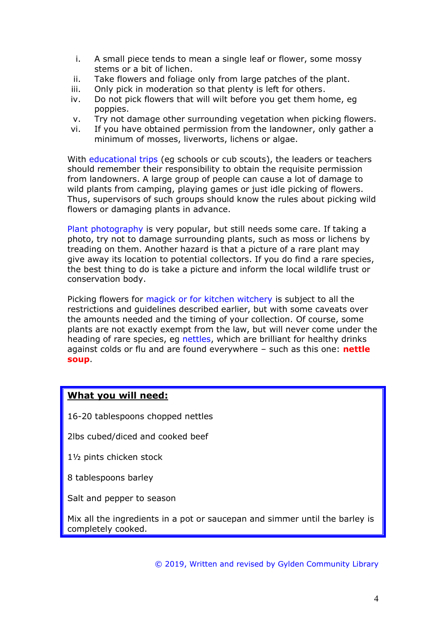- i. A small piece tends to mean a single leaf or flower, some mossy stems or a bit of lichen.
- ii. Take flowers and foliage only from large patches of the plant.
- iii. Only pick in moderation so that plenty is left for others.
- iv. Do not pick flowers that will wilt before you get them home, eg poppies.
- v. Try not damage other surrounding vegetation when picking flowers.
- vi. If you have obtained permission from the landowner, only gather a minimum of mosses, liverworts, lichens or algae.

With educational trips (eg schools or cub scouts), the leaders or teachers should remember their responsibility to obtain the requisite permission from landowners. A large group of people can cause a lot of damage to wild plants from camping, playing games or just idle picking of flowers. Thus, supervisors of such groups should know the rules about picking wild flowers or damaging plants in advance.

Plant photography is very popular, but still needs some care. If taking a photo, try not to damage surrounding plants, such as moss or lichens by treading on them. Another hazard is that a picture of a rare plant may give away its location to potential collectors. If you do find a rare species, the best thing to do is take a picture and inform the local wildlife trust or conservation body.

Picking flowers for magick or for kitchen witchery is subject to all the restrictions and guidelines described earlier, but with some caveats over the amounts needed and the timing of your collection. Of course, some plants are not exactly exempt from the law, but will never come under the heading of rare species, eg nettles, which are brilliant for healthy drinks against colds or flu and are found everywhere – such as this one: **nettle soup**.

#### **What you will need:**

16-20 tablespoons chopped nettles

2lbs cubed/diced and cooked beef

1½ pints chicken stock

8 tablespoons barley

Salt and pepper to season

Mix all the ingredients in a pot or saucepan and simmer until the barley is completely cooked.